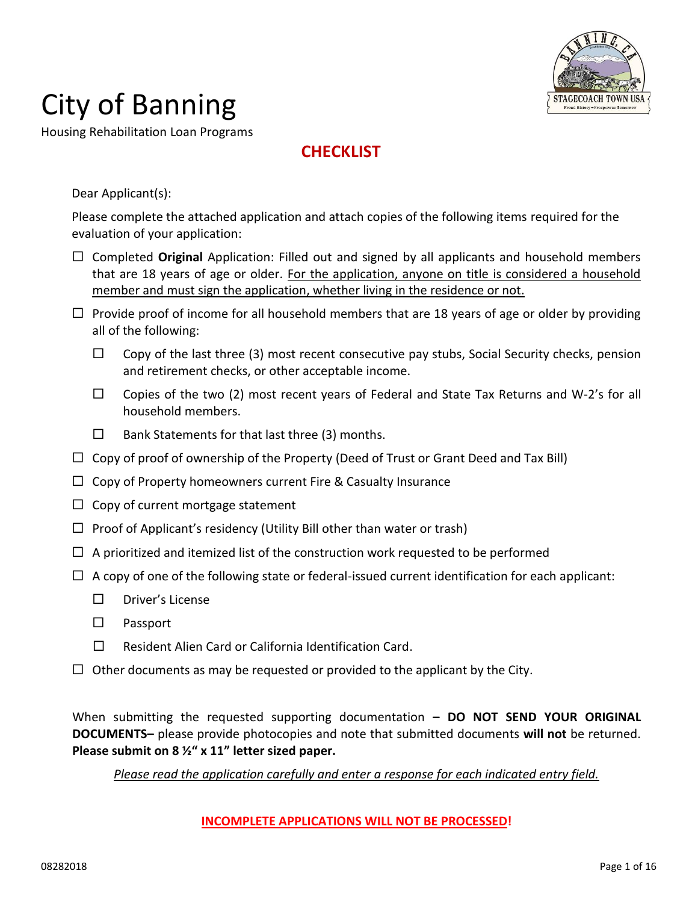

Housing Rehabilitation Loan Programs

### **CHECKLIST**

Dear Applicant(s):

Please complete the attached application and attach copies of the following items required for the evaluation of your application:

- □ Completed **Original** Application: Filled out and signed by all applicants and household members that are 18 years of age or older. For the application, anyone on title is considered a household member and must sign the application, whether living in the residence or not.
- $\Box$  Provide proof of income for all household members that are 18 years of age or older by providing all of the following:
	- $\Box$  Copy of the last three (3) most recent consecutive pay stubs, Social Security checks, pension and retirement checks, or other acceptable income.
	- $\Box$  Copies of the two (2) most recent years of Federal and State Tax Returns and W-2's for all household members.
	- $\square$  Bank Statements for that last three (3) months.
- $\Box$  Copy of proof of ownership of the Property (Deed of Trust or Grant Deed and Tax Bill)
- $\Box$  Copy of Property homeowners current Fire & Casualty Insurance
- $\Box$  Copy of current mortgage statement
- $\Box$  Proof of Applicant's residency (Utility Bill other than water or trash)
- $\Box$  A prioritized and itemized list of the construction work requested to be performed
- $\Box$  A copy of one of the following state or federal-issued current identification for each applicant:
	- $\n *Driver's License*\n$
	- $\square$  Passport
	- $\square$  Resident Alien Card or California Identification Card.
- $\Box$  Other documents as may be requested or provided to the applicant by the City.

When submitting the requested supporting documentation **– DO NOT SEND YOUR ORIGINAL DOCUMENTS–** please provide photocopies and note that submitted documents **will not** be returned. **Please submit on 8 ½" x 11" letter sized paper.**

*Please read the application carefully and enter a response for each indicated entry field.*

### **INCOMPLETE APPLICATIONS WILL NOT BE PROCESSED!**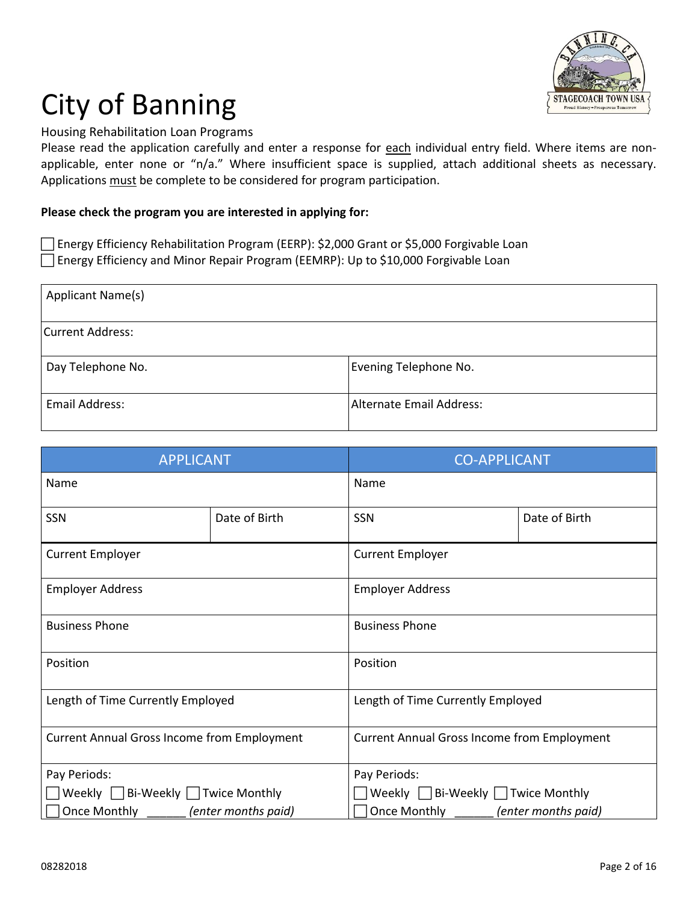

Housing Rehabilitation Loan Programs

Please read the application carefully and enter a response for each individual entry field. Where items are nonapplicable, enter none or "n/a." Where insufficient space is supplied, attach additional sheets as necessary. Applications must be complete to be considered for program participation.

#### **Please check the program you are interested in applying for:**

Energy Efficiency Rehabilitation Program (EERP): \$2,000 Grant or \$5,000 Forgivable Loan Energy Efficiency and Minor Repair Program (EEMRP): Up to \$10,000 Forgivable Loan

| Applicant Name(s)     |                          |
|-----------------------|--------------------------|
| Current Address:      |                          |
| Day Telephone No.     | Evening Telephone No.    |
| <b>Email Address:</b> | Alternate Email Address: |

| <b>APPLICANT</b>                                   |               | <b>CO-APPLICANT</b>                                |               |  |
|----------------------------------------------------|---------------|----------------------------------------------------|---------------|--|
| Name                                               |               | Name                                               |               |  |
| SSN                                                | Date of Birth | SSN                                                | Date of Birth |  |
| <b>Current Employer</b>                            |               | <b>Current Employer</b>                            |               |  |
| <b>Employer Address</b>                            |               | <b>Employer Address</b>                            |               |  |
| <b>Business Phone</b>                              |               | <b>Business Phone</b>                              |               |  |
| Position                                           |               | Position                                           |               |  |
| Length of Time Currently Employed                  |               | Length of Time Currently Employed                  |               |  |
| <b>Current Annual Gross Income from Employment</b> |               | <b>Current Annual Gross Income from Employment</b> |               |  |
| Pay Periods:                                       |               | Pay Periods:                                       |               |  |
| Weekly Bi-Weekly Twice Monthly                     |               | Weekly $\Box$ Bi-Weekly $\Box$ Twice Monthly       |               |  |
| Once Monthly ________ (enter months paid)          |               | Once Monthly <i>(enter months paid)</i>            |               |  |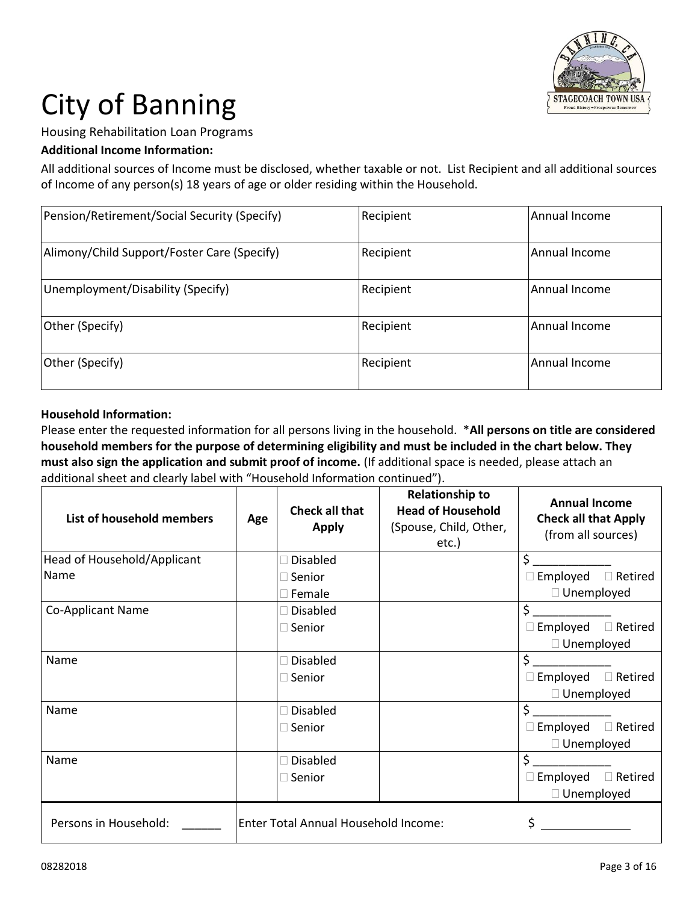

Housing Rehabilitation Loan Programs

### **Additional Income Information:**

All additional sources of Income must be disclosed, whether taxable or not. List Recipient and all additional sources of Income of any person(s) 18 years of age or older residing within the Household.

| Pension/Retirement/Social Security (Specify) | Recipient | Annual Income |
|----------------------------------------------|-----------|---------------|
| Alimony/Child Support/Foster Care (Specify)  | Recipient | Annual Income |
| Unemployment/Disability (Specify)            | Recipient | Annual Income |
| Other (Specify)                              | Recipient | Annual Income |
| Other (Specify)                              | Recipient | Annual Income |

#### **Household Information:**

Please enter the requested information for all persons living in the household. \***All persons on title are considered household members for the purpose of determining eligibility and must be included in the chart below. They must also sign the application and submit proof of income.** (If additional space is needed, please attach an additional sheet and clearly label with "Household Information continued").

| List of household members   | Age | <b>Check all that</b><br><b>Apply</b> | <b>Relationship to</b><br><b>Head of Household</b><br>(Spouse, Child, Other,<br>etc.) | <b>Annual Income</b><br><b>Check all that Apply</b><br>(from all sources) |                |
|-----------------------------|-----|---------------------------------------|---------------------------------------------------------------------------------------|---------------------------------------------------------------------------|----------------|
| Head of Household/Applicant |     | <b>Disabled</b>                       |                                                                                       | \$                                                                        |                |
| Name                        |     | $\square$ Senior                      |                                                                                       | $\square$ Employed                                                        | $\Box$ Retired |
|                             |     | $\square$ Female                      |                                                                                       | $\Box$ Unemployed                                                         |                |
| <b>Co-Applicant Name</b>    |     | $\Box$ Disabled                       |                                                                                       | \$                                                                        |                |
|                             |     | $\square$ Senior                      |                                                                                       | $\Box$ Employed                                                           | $\Box$ Retired |
|                             |     |                                       |                                                                                       | $\Box$ Unemployed                                                         |                |
| Name                        |     | <b>Disabled</b>                       |                                                                                       | \$                                                                        |                |
|                             |     | $\Box$ Senior                         |                                                                                       | Employed<br>$\Box$                                                        | $\Box$ Retired |
|                             |     |                                       |                                                                                       | $\Box$ Unemployed                                                         |                |
| Name                        |     | <b>Disabled</b>                       |                                                                                       | \$                                                                        |                |
|                             |     | $\square$ Senior                      |                                                                                       | $\square$ Employed                                                        | $\Box$ Retired |
|                             |     |                                       |                                                                                       | $\Box$ Unemployed                                                         |                |
| Name                        |     | <b>Disabled</b>                       |                                                                                       | \$                                                                        |                |
|                             |     | $\square$ Senior                      |                                                                                       | $\Box$ Employed                                                           | $\Box$ Retired |
|                             |     |                                       |                                                                                       | $\Box$ Unemployed                                                         |                |
| Persons in Household:       |     | Enter Total Annual Household Income:  |                                                                                       |                                                                           |                |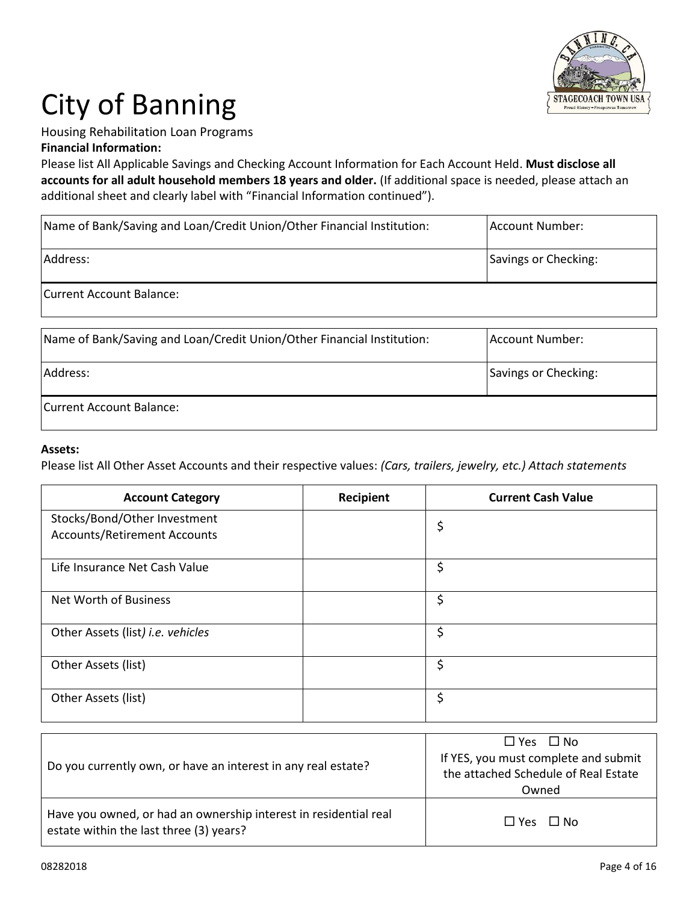

### Housing Rehabilitation Loan Programs

**Financial Information:**

Please list All Applicable Savings and Checking Account Information for Each Account Held. **Must disclose all accounts for all adult household members 18 years and older.** (If additional space is needed, please attach an additional sheet and clearly label with "Financial Information continued").

| Name of Bank/Saving and Loan/Credit Union/Other Financial Institution: | Account Number:      |
|------------------------------------------------------------------------|----------------------|
| Address:                                                               | Savings or Checking: |
| Current Account Balance:                                               |                      |

| Name of Bank/Saving and Loan/Credit Union/Other Financial Institution: | Account Number:      |
|------------------------------------------------------------------------|----------------------|
| Address:                                                               | Savings or Checking: |
| Current Account Balance:                                               |                      |

#### **Assets:**

Please list All Other Asset Accounts and their respective values: *(Cars, trailers, jewelry, etc.) Attach statements*

| <b>Account Category</b>                                             | <b>Recipient</b> | <b>Current Cash Value</b> |
|---------------------------------------------------------------------|------------------|---------------------------|
| Stocks/Bond/Other Investment<br><b>Accounts/Retirement Accounts</b> |                  | \$                        |
| Life Insurance Net Cash Value                                       |                  | \$                        |
| Net Worth of Business                                               |                  | \$                        |
| Other Assets (list) i.e. vehicles                                   |                  | \$                        |
| Other Assets (list)                                                 |                  | \$                        |
| Other Assets (list)                                                 |                  | \$                        |

| Do you currently own, or have an interest in any real estate?                                               | $\Box$ Yes $\Box$ No<br>If YES, you must complete and submit<br>the attached Schedule of Real Estate<br>Owned |
|-------------------------------------------------------------------------------------------------------------|---------------------------------------------------------------------------------------------------------------|
| Have you owned, or had an ownership interest in residential real<br>estate within the last three (3) years? | $\Box$ Yes $\Box$ No                                                                                          |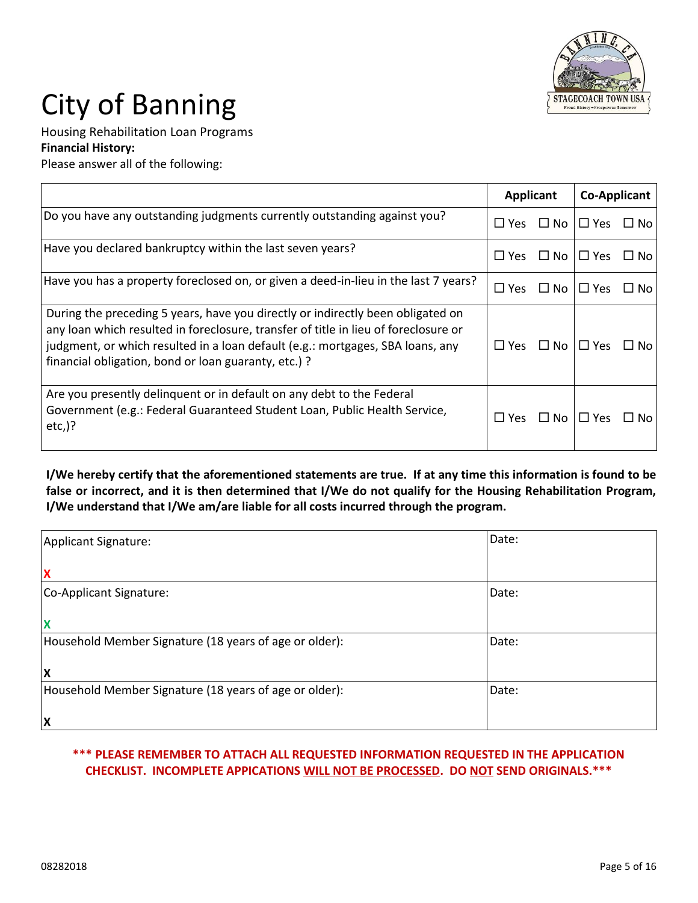

Housing Rehabilitation Loan Programs

**Financial History:**

Please answer all of the following:

|                                                                                                                                                                                                                                                                                                                  | <b>Applicant</b> |           | <b>Co-Applicant</b>  |                |
|------------------------------------------------------------------------------------------------------------------------------------------------------------------------------------------------------------------------------------------------------------------------------------------------------------------|------------------|-----------|----------------------|----------------|
| Do you have any outstanding judgments currently outstanding against you?                                                                                                                                                                                                                                         | $\Box$ Yes       | $\Box$ No | $\Box$ Yes           | $\Box$ No      |
| Have you declared bankruptcy within the last seven years?                                                                                                                                                                                                                                                        | $\Box$ Yes       |           | $\Box$ No $\Box$ Yes | No l<br>$\Box$ |
| Have you has a property foreclosed on, or given a deed-in-lieu in the last 7 years?                                                                                                                                                                                                                              | $\Box$ Yes       | $\Box$ No | $\Box$ Yes           | $\Box$ No      |
| During the preceding 5 years, have you directly or indirectly been obligated on<br>any loan which resulted in foreclosure, transfer of title in lieu of foreclosure or<br>judgment, or which resulted in a loan default (e.g.: mortgages, SBA loans, any<br>financial obligation, bond or loan guaranty, etc.) ? | $\Box$ Yes       | $\Box$ No | $\Box$ Yes           | ⊔ No           |
| Are you presently delinguent or in default on any debt to the Federal<br>Government (e.g.: Federal Guaranteed Student Loan, Public Health Service,<br>$etc.)$ ?                                                                                                                                                  | $\Box$ Yes       | $\Box$ No | $\Box$ Yes           | No.            |

**I/We hereby certify that the aforementioned statements are true. If at any time this information is found to be false or incorrect, and it is then determined that I/We do not qualify for the Housing Rehabilitation Program, I/We understand that I/We am/are liable for all costs incurred through the program.**

| Applicant Signature:                                   | Date: |
|--------------------------------------------------------|-------|
| $\boldsymbol{\mathsf{x}}$                              |       |
| Co-Applicant Signature:                                | Date: |
| $\boldsymbol{\mathsf{x}}$                              |       |
| Household Member Signature (18 years of age or older): | Date: |
| ΙX                                                     |       |
| Household Member Signature (18 years of age or older): | Date: |
| $\boldsymbol{\mathsf{X}}$                              |       |

### **\*\*\* PLEASE REMEMBER TO ATTACH ALL REQUESTED INFORMATION REQUESTED IN THE APPLICATION CHECKLIST. INCOMPLETE APPICATIONS WILL NOT BE PROCESSED. DO NOT SEND ORIGINALS.\*\*\***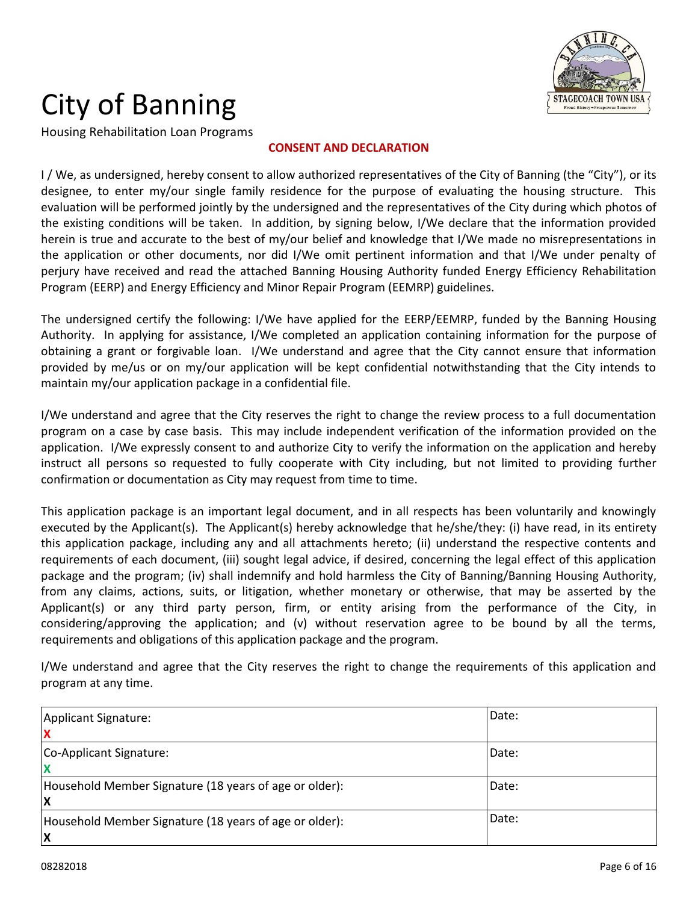

Housing Rehabilitation Loan Programs

#### **CONSENT AND DECLARATION**

I/We, as undersigned, hereby consent to allow authorized representatives of the City of Banning (the "City"), or its designee, to enter my/our single family residence for the purpose of evaluating the housing structure. This evaluation will be performed jointly by the undersigned and the representatives of the City during which photos of the existing conditions will be taken. In addition, by signing below, I/We declare that the information provided herein is true and accurate to the best of my/our belief and knowledge that I/We made no misrepresentations in the application or other documents, nor did I/We omit pertinent information and that I/We under penalty of perjury have received and read the attached Banning Housing Authority funded Energy Efficiency Rehabilitation Program (EERP) and Energy Efficiency and Minor Repair Program (EEMRP) guidelines.

The undersigned certify the following: I/We have applied for the EERP/EEMRP, funded by the Banning Housing Authority. In applying for assistance, I/We completed an application containing information for the purpose of obtaining a grant or forgivable loan. I/We understand and agree that the City cannot ensure that information provided by me/us or on my/our application will be kept confidential notwithstanding that the City intends to maintain my/our application package in a confidential file.

I/We understand and agree that the City reserves the right to change the review process to a full documentation program on a case by case basis. This may include independent verification of the information provided on the application. I/We expressly consent to and authorize City to verify the information on the application and hereby instruct all persons so requested to fully cooperate with City including, but not limited to providing further confirmation or documentation as City may request from time to time.

This application package is an important legal document, and in all respects has been voluntarily and knowingly executed by the Applicant(s). The Applicant(s) hereby acknowledge that he/she/they: (i) have read, in its entirety this application package, including any and all attachments hereto; (ii) understand the respective contents and requirements of each document, (iii) sought legal advice, if desired, concerning the legal effect of this application package and the program; (iv) shall indemnify and hold harmless the City of Banning/Banning Housing Authority, from any claims, actions, suits, or litigation, whether monetary or otherwise, that may be asserted by the Applicant(s) or any third party person, firm, or entity arising from the performance of the City, in considering/approving the application; and (v) without reservation agree to be bound by all the terms, requirements and obligations of this application package and the program.

I/We understand and agree that the City reserves the right to change the requirements of this application and program at any time.

| Applicant Signature:<br>IX                                         | Date: |
|--------------------------------------------------------------------|-------|
| Co-Applicant Signature:                                            | Date: |
| Household Member Signature (18 years of age or older):<br><b>X</b> | Date: |
| Household Member Signature (18 years of age or older):<br><b>X</b> | Date: |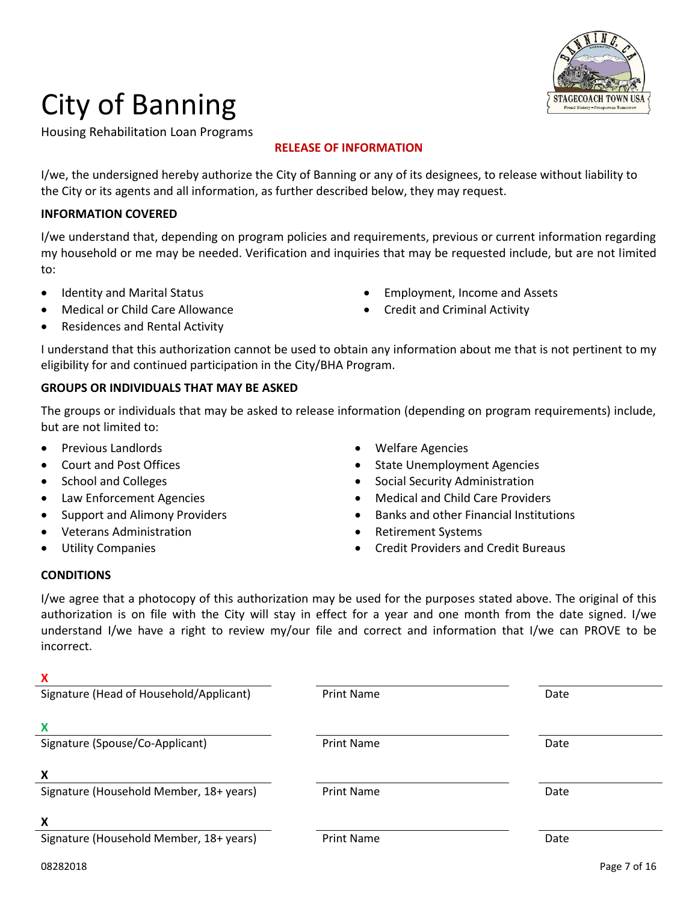

Housing Rehabilitation Loan Programs

### **RELEASE OF INFORMATION**

I/we, the undersigned hereby authorize the City of Banning or any of its designees, to release without liability to the City or its agents and all information, as further described below, they may request.

### **INFORMATION COVERED**

I/we understand that, depending on program policies and requirements, previous or current information regarding my household or me may be needed. Verification and inquiries that may be requested include, but are not limited to:

- Identity and Marital Status **Employment**, Income and Assets
- Medical or Child Care Allowance **Careful Care Allowance Credit and Criminal Activity**
- Residences and Rental Activity
- 

I understand that this authorization cannot be used to obtain any information about me that is not pertinent to my eligibility for and continued participation in the City/BHA Program.

### **GROUPS OR INDIVIDUALS THAT MAY BE ASKED**

The groups or individuals that may be asked to release information (depending on program requirements) include, but are not limited to:

- 
- 
- 
- 
- 
- Veterans Administration and the settlement Systems of the Retirement Systems
- 
- Previous Landlords **Calculation Calculation Contract Calculation Calculation Contract Calculation Calculation Calculation Calculation Calculation Calculation Calculation Calculation Calculation Calcul**
- Court and Post Offices **State Unemployment Agencies** State Unemployment Agencies
	- School and Colleges **School and Colleges School and Colleges School and Colleges School and Colleges School and Colleges School and Colleges School and Colleges School and Colleges School and Colleges Sch**
- Law Enforcement Agencies **Medical and Child Care Providers Medical and Child Care Providers** 
	- Support and Alimony Providers **Banks** and other Financial Institutions
		-
- Utility Companies Credit Providers and Credit Bureaus

#### **CONDITIONS**

I/we agree that a photocopy of this authorization may be used for the purposes stated above. The original of this authorization is on file with the City will stay in effect for a year and one month from the date signed. I/we understand I/we have a right to review my/our file and correct and information that I/we can PROVE to be incorrect.

| Signature (Head of Household/Applicant) | <b>Print Name</b> | Date         |  |  |
|-----------------------------------------|-------------------|--------------|--|--|
| X                                       |                   |              |  |  |
| Signature (Spouse/Co-Applicant)         | <b>Print Name</b> | Date         |  |  |
| Χ                                       |                   |              |  |  |
| Signature (Household Member, 18+ years) | <b>Print Name</b> | Date         |  |  |
| X                                       |                   |              |  |  |
| Signature (Household Member, 18+ years) | <b>Print Name</b> | Date         |  |  |
| 08282018                                |                   | Page 7 of 16 |  |  |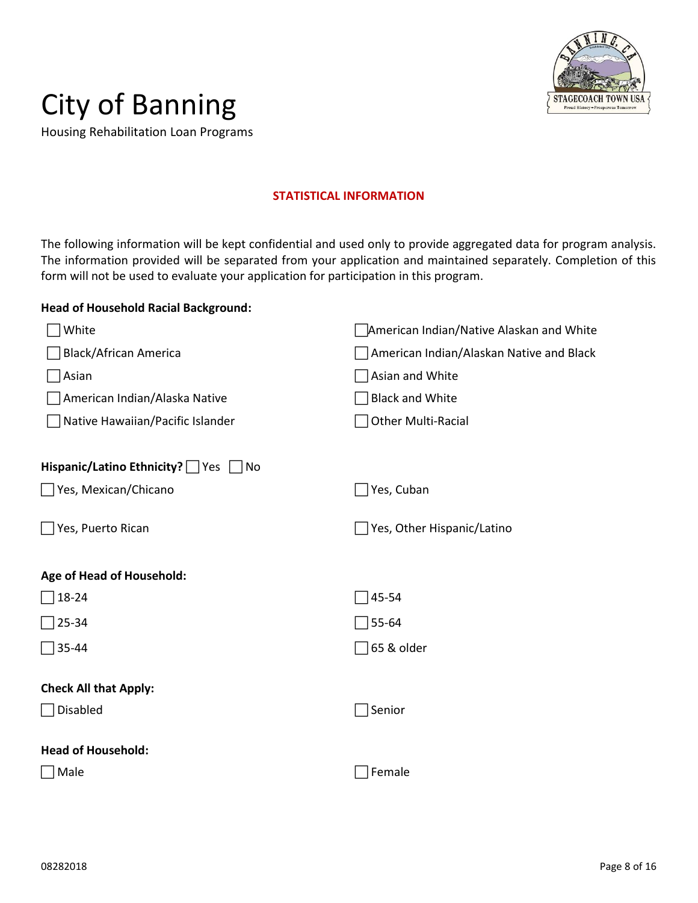

Housing Rehabilitation Loan Programs

#### **STATISTICAL INFORMATION**

The following information will be kept confidential and used only to provide aggregated data for program analysis. The information provided will be separated from your application and maintained separately. Completion of this form will not be used to evaluate your application for participation in this program.

#### **Head of Household Racial Background:**

| White                                                | American Indian/Native Alaskan and White |
|------------------------------------------------------|------------------------------------------|
| <b>Black/African America</b>                         | American Indian/Alaskan Native and Black |
| Asian                                                | Asian and White                          |
| American Indian/Alaska Native                        | <b>Black and White</b>                   |
| Native Hawaiian/Pacific Islander                     | <b>Other Multi-Racial</b>                |
|                                                      |                                          |
| Hispanic/Latino Ethnicity? Yes<br>$\vert$ $\vert$ No |                                          |
| Yes, Mexican/Chicano                                 | Yes, Cuban                               |
| $\Box$ Yes, Puerto Rican                             | Yes, Other Hispanic/Latino               |
| Age of Head of Household:                            |                                          |
| $\Box$ 18-24                                         | 45-54                                    |
| 25-34                                                | 55-64                                    |
| ີ 35-44                                              | 65 & older                               |
| <b>Check All that Apply:</b>                         |                                          |
| Disabled                                             | Senior                                   |
|                                                      |                                          |
| <b>Head of Household:</b>                            |                                          |
| ∏Male                                                | Female                                   |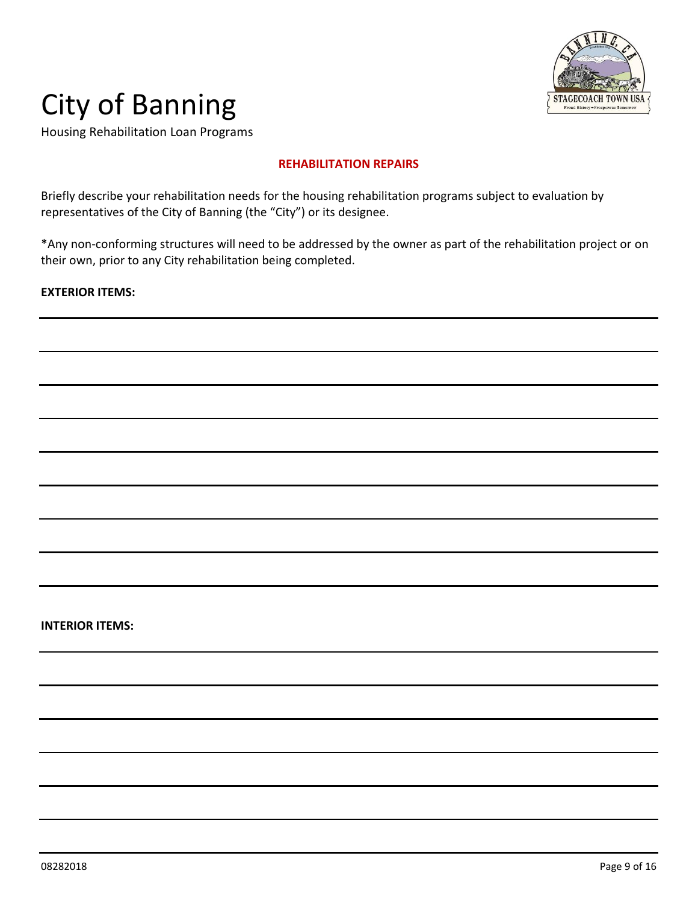

Housing Rehabilitation Loan Programs

#### **REHABILITATION REPAIRS**

Briefly describe your rehabilitation needs for the housing rehabilitation programs subject to evaluation by representatives of the City of Banning (the "City") or its designee.

\*Any non-conforming structures will need to be addressed by the owner as part of the rehabilitation project or on their own, prior to any City rehabilitation being completed.

#### **EXTERIOR ITEMS:**

#### **INTERIOR ITEMS:**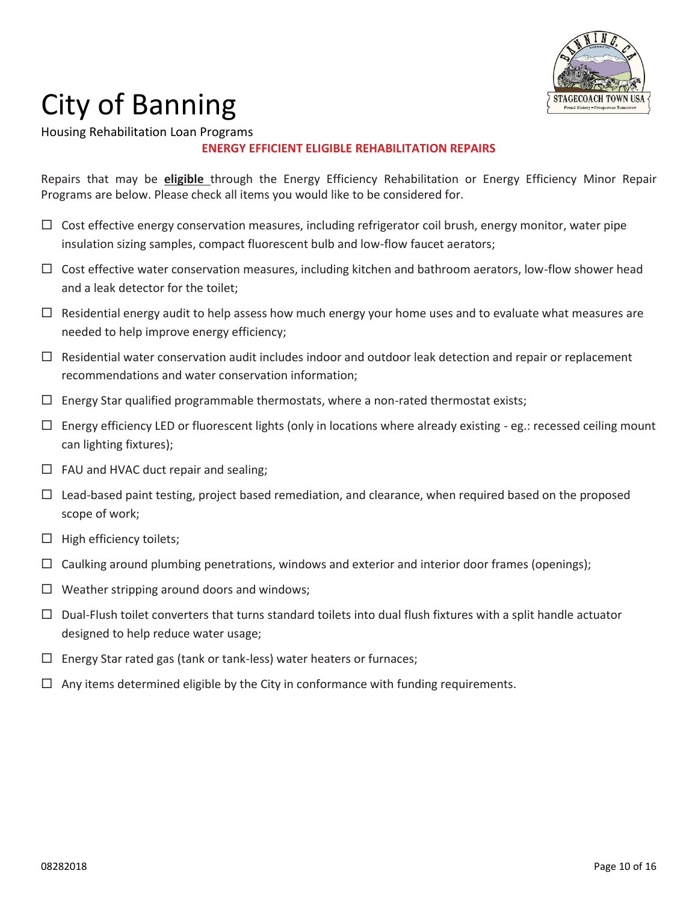

Housing Rehabilitation Loan Programs

### **ENERGY EFFICIENT ELIGIBLE REHABILITATION REPAIRS**

Repairs that may be **eligible** through the Energy Efficiency Rehabilitation or Energy Efficiency Minor Repair Programs are below. Please check all items you would like to be considered for.

- $\Box$  Cost effective energy conservation measures, including refrigerator coil brush, energy monitor, water pipe insulation sizing samples, compact fluorescent bulb and low-flow faucet aerators;
- $\Box$  Cost effective water conservation measures, including kitchen and bathroom aerators, low-flow shower head and a leak detector for the toilet;
- $\Box$  Residential energy audit to help assess how much energy your home uses and to evaluate what measures are needed to help improve energy efficiency;
- $\Box$  Residential water conservation audit includes indoor and outdoor leak detection and repair or replacement recommendations and water conservation information;
- $\Box$  Energy Star qualified programmable thermostats, where a non-rated thermostat exists;
- $\Box$  Energy efficiency LED or fluorescent lights (only in locations where already existing eg.: recessed ceiling mount can lighting fixtures);
- $\Box$  FAU and HVAC duct repair and sealing;
- $\Box$  Lead-based paint testing, project based remediation, and clearance, when required based on the proposed scope of work;
- $\Box$  High efficiency toilets;
- $\Box$  Caulking around plumbing penetrations, windows and exterior and interior door frames (openings);
- $\Box$  Weather stripping around doors and windows;
- $\Box$  Dual-Flush toilet converters that turns standard toilets into dual flush fixtures with a split handle actuator designed to help reduce water usage;
- $\Box$  Energy Star rated gas (tank or tank-less) water heaters or furnaces;
- $\Box$  Any items determined eligible by the City in conformance with funding requirements.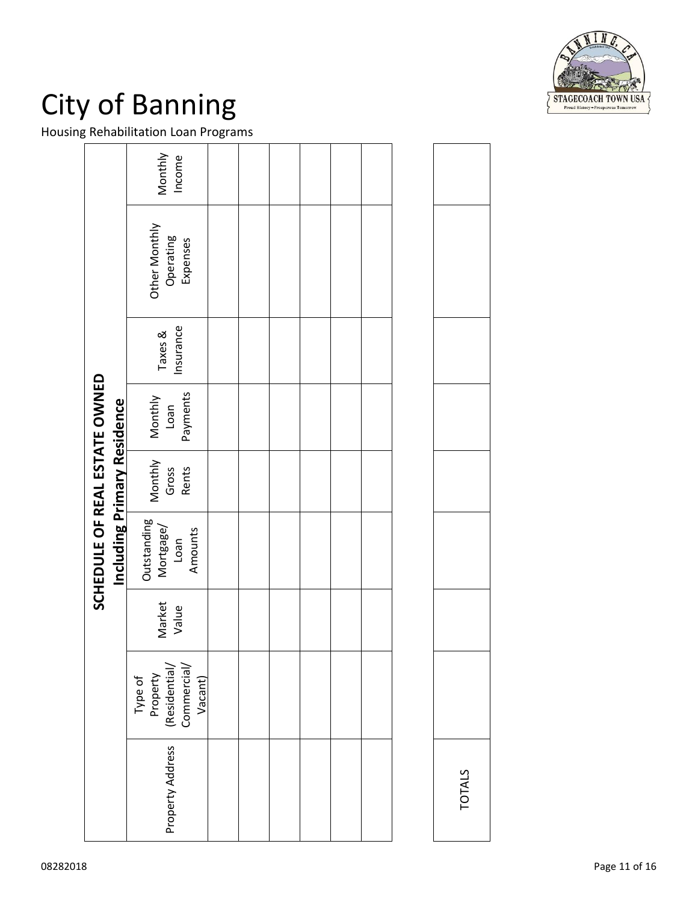

Housing Rehabilitation Loan Programs

|                                                                     | Monthly<br>Income                                              |  |  |  |               |  |
|---------------------------------------------------------------------|----------------------------------------------------------------|--|--|--|---------------|--|
|                                                                     | Other Monthly<br>Operating<br>Expenses                         |  |  |  |               |  |
|                                                                     | Insurance<br>Taxes &                                           |  |  |  |               |  |
|                                                                     | Payments<br>Monthly<br>Loan                                    |  |  |  |               |  |
|                                                                     | Monthly<br>Gross<br>Rents                                      |  |  |  |               |  |
| SCHEDULE OF REAL ESTATE OWNED<br><b>Including Primary Residence</b> | Outstanding<br>Mortgage/<br>Amounts<br>Loan                    |  |  |  |               |  |
|                                                                     | Market<br>Value                                                |  |  |  |               |  |
|                                                                     | Commercial/<br>(Residential/<br>Property<br>Type of<br>Vacant) |  |  |  |               |  |
|                                                                     | Property Address                                               |  |  |  | <b>TOTALS</b> |  |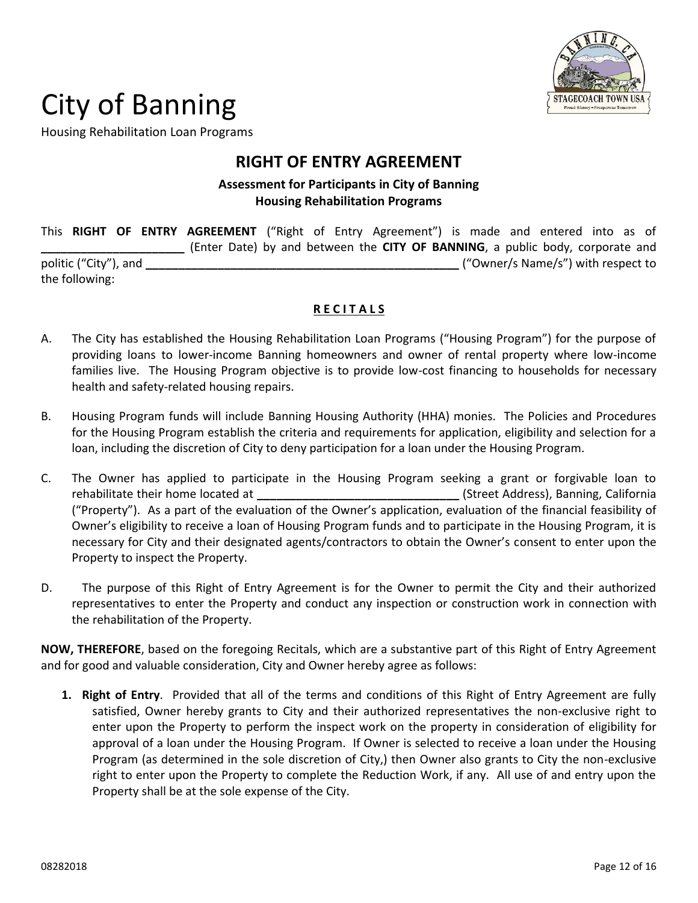

Housing Rehabilitation Loan Programs

### **RIGHT OF ENTRY AGREEMENT**

### **Assessment for Participants in City of Banning Housing Rehabilitation Programs**

This **RIGHT OF ENTRY AGREEMENT** ("Right of Entry Agreement") is made and entered into as of **\_\_\_\_\_\_\_\_\_\_\_\_\_\_\_\_\_\_\_\_\_\_** (Enter Date) by and between the **CITY OF BANNING**, a public body, corporate and politic ("City"), and **\_\_\_\_\_\_\_\_\_\_\_\_\_\_\_\_\_\_\_\_\_\_\_\_\_\_\_\_\_\_\_\_\_\_\_\_\_\_\_\_\_\_\_\_\_\_\_\_** ("Owner/s Name/s") with respect to the following:

### **R E C I T A L S**

- A. The City has established the Housing Rehabilitation Loan Programs ("Housing Program") for the purpose of providing loans to lower-income Banning homeowners and owner of rental property where low-income families live. The Housing Program objective is to provide low-cost financing to households for necessary health and safety-related housing repairs.
- B. Housing Program funds will include Banning Housing Authority (HHA) monies. The Policies and Procedures for the Housing Program establish the criteria and requirements for application, eligibility and selection for a loan, including the discretion of City to deny participation for a loan under the Housing Program.
- C. The Owner has applied to participate in the Housing Program seeking a grant or forgivable loan to rehabilitate their home located at **\_\_\_\_\_\_\_\_\_\_\_\_\_\_\_\_\_\_\_\_\_\_\_\_\_\_\_\_\_\_\_** (Street Address), Banning, California ("Property"). As a part of the evaluation of the Owner's application, evaluation of the financial feasibility of Owner's eligibility to receive a loan of Housing Program funds and to participate in the Housing Program, it is necessary for City and their designated agents/contractors to obtain the Owner's consent to enter upon the Property to inspect the Property.
- D. The purpose of this Right of Entry Agreement is for the Owner to permit the City and their authorized representatives to enter the Property and conduct any inspection or construction work in connection with the rehabilitation of the Property.

**NOW, THEREFORE**, based on the foregoing Recitals, which are a substantive part of this Right of Entry Agreement and for good and valuable consideration, City and Owner hereby agree as follows:

**1. Right of Entry**. Provided that all of the terms and conditions of this Right of Entry Agreement are fully satisfied, Owner hereby grants to City and their authorized representatives the non-exclusive right to enter upon the Property to perform the inspect work on the property in consideration of eligibility for approval of a loan under the Housing Program. If Owner is selected to receive a loan under the Housing Program (as determined in the sole discretion of City,) then Owner also grants to City the non-exclusive right to enter upon the Property to complete the Reduction Work, if any. All use of and entry upon the Property shall be at the sole expense of the City.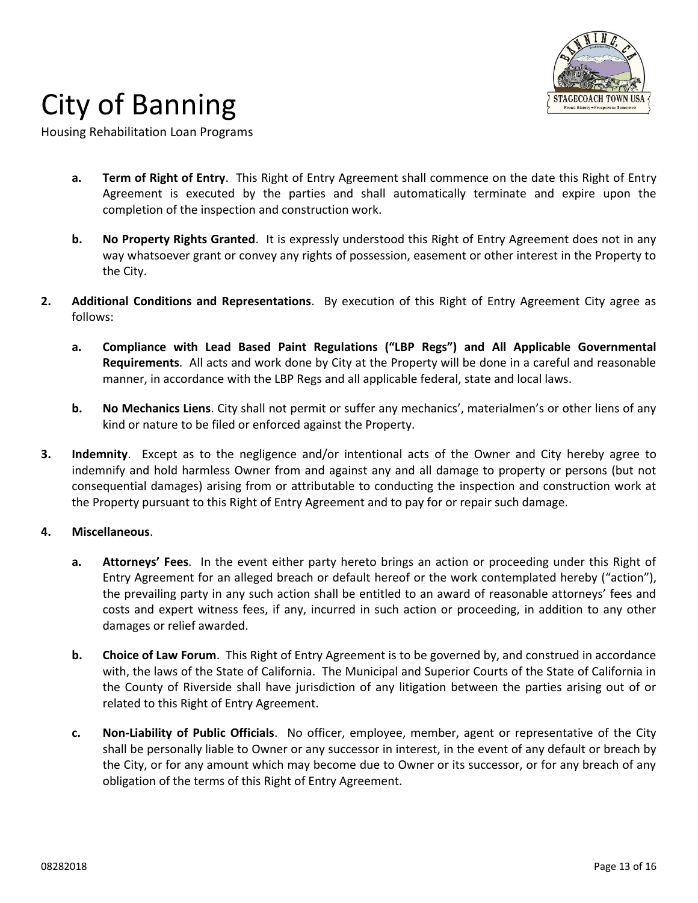

Housing Rehabilitation Loan Programs

- **a. Term of Right of Entry**. This Right of Entry Agreement shall commence on the date this Right of Entry Agreement is executed by the parties and shall automatically terminate and expire upon the completion of the inspection and construction work.
- **b. No Property Rights Granted**. It is expressly understood this Right of Entry Agreement does not in any way whatsoever grant or convey any rights of possession, easement or other interest in the Property to the City.
- **2. Additional Conditions and Representations**. By execution of this Right of Entry Agreement City agree as follows:
	- **a. Compliance with Lead Based Paint Regulations ("LBP Regs") and All Applicable Governmental Requirements**. All acts and work done by City at the Property will be done in a careful and reasonable manner, in accordance with the LBP Regs and all applicable federal, state and local laws.
	- **b. No Mechanics Liens**. City shall not permit or suffer any mechanics', materialmen's or other liens of any kind or nature to be filed or enforced against the Property.
- **3. Indemnity**. Except as to the negligence and/or intentional acts of the Owner and City hereby agree to indemnify and hold harmless Owner from and against any and all damage to property or persons (but not consequential damages) arising from or attributable to conducting the inspection and construction work at the Property pursuant to this Right of Entry Agreement and to pay for or repair such damage.

#### **4. Miscellaneous**.

- **a. Attorneys' Fees**. In the event either party hereto brings an action or proceeding under this Right of Entry Agreement for an alleged breach or default hereof or the work contemplated hereby ("action"), the prevailing party in any such action shall be entitled to an award of reasonable attorneys' fees and costs and expert witness fees, if any, incurred in such action or proceeding, in addition to any other damages or relief awarded.
- **b. Choice of Law Forum**. This Right of Entry Agreement is to be governed by, and construed in accordance with, the laws of the State of California. The Municipal and Superior Courts of the State of California in the County of Riverside shall have jurisdiction of any litigation between the parties arising out of or related to this Right of Entry Agreement.
- **c. Non-Liability of Public Officials**. No officer, employee, member, agent or representative of the City shall be personally liable to Owner or any successor in interest, in the event of any default or breach by the City, or for any amount which may become due to Owner or its successor, or for any breach of any obligation of the terms of this Right of Entry Agreement.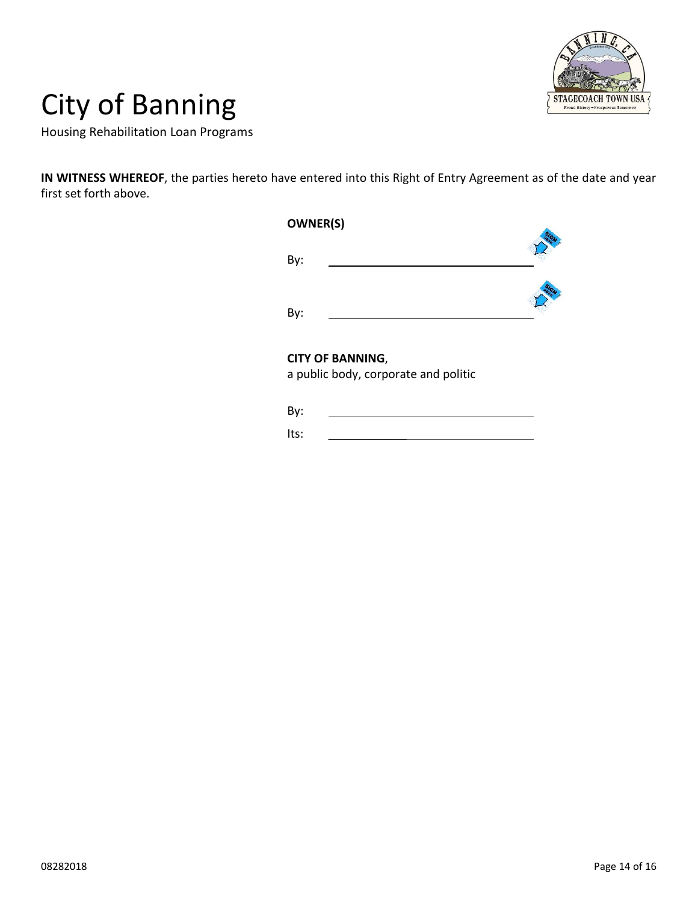

Housing Rehabilitation Loan Programs

**IN WITNESS WHEREOF**, the parties hereto have entered into this Right of Entry Agreement as of the date and year first set forth above.

| <b>OWNER(S)</b>         |  |
|-------------------------|--|
| By:                     |  |
| By:                     |  |
| <b>CITY OF BANNING,</b> |  |

a public body, corporate and politic

| ۰. |  |
|----|--|
|    |  |

Its: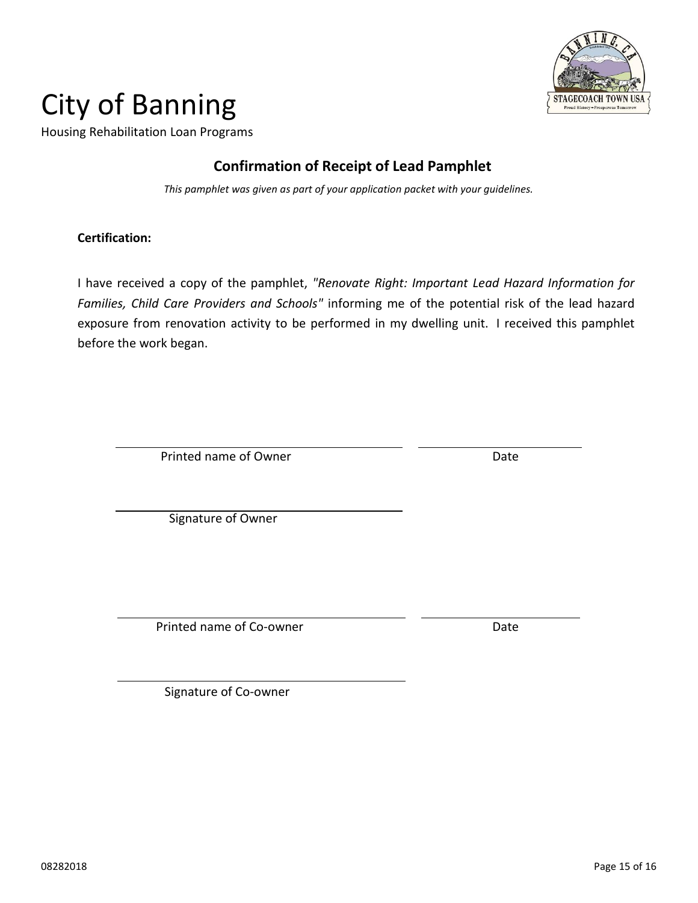

Housing Rehabilitation Loan Programs

### **Confirmation of Receipt of Lead Pamphlet**

*This pamphlet was given as part of your application packet with your guidelines.*

### **Certification:**

I have received a copy of the pamphlet, *"Renovate Right: Important Lead Hazard Information for Families, Child Care Providers and Schools"* informing me of the potential risk of the lead hazard exposure from renovation activity to be performed in my dwelling unit. I received this pamphlet before the work began.

Printed name of Owner Date

Signature of Owner

Printed name of Co-owner **Date** 

Signature of Co-owner